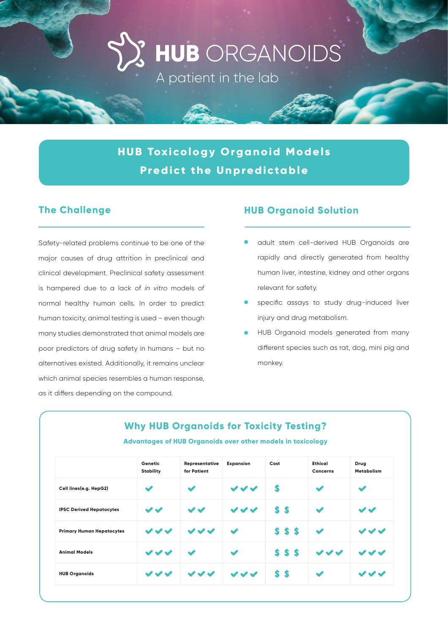HUB ORGANOIDS

A patient in the lab

**HUB Toxicology Organoid Models Predict the Unpredictable**

Safety-related problems continue to be one of the major causes of drug attrition in preclinical and clinical development. Preclinical safety assessment is hampered due to a lack of *in vitro* models of normal healthy human cells. In order to predict human toxicity, animal testing is used – even though many studies demonstrated that animal models are poor predictors of drug safety in humans – but no alternatives existed. Additionally, it remains unclear which animal species resembles a human response, as it differs depending on the compound.

#### **The Challenge HUB Organoid Solution**

- adult stem cell-derived HUB Organoids are rapidly and directly generated from healthy human liver, intestine, kidney and other organs relevant for safety.
- specific assays to study drug-induced liver injury and drug metabolism.
- HUB Organoid models generated from many different species such as rat, dog, mini pig and monkey.

|                                  | Genetic<br><b>Stability</b> | Representative<br>for Patient | <b>Expansion</b>     | Cost   | <b>Ethical</b><br>Concerns | Drug<br><b>Metabolism</b> |
|----------------------------------|-----------------------------|-------------------------------|----------------------|--------|----------------------------|---------------------------|
| Cell lines(e.g. HepG2)           | $\checkmark$                | $\blacktriangledown$          | $\checkmark$         | S      | $\blacktriangledown$       | ✔                         |
| <b>IPSC Derived Hepatocytes</b>  | $\boldsymbol{\checkmark}$   | $\boldsymbol{\checkmark}$     | $\checkmark$         | \$\$   | $\blacktriangledown$       | $\boldsymbol{\checkmark}$ |
| <b>Primary Human Hepatocytes</b> | $\boldsymbol{v}$            | $\boldsymbol{v}$              | $\blacktriangledown$ | \$\$\$ | $\blacktriangledown$       | $\checkmark$              |
| <b>Animal Models</b>             | $\checkmark$                | $\blacktriangledown$          | $\blacktriangledown$ | 555    | $\checkmark$               | $\checkmark$              |
| <b>HUB Organoids</b>             | $\boldsymbol{\checkmark}$   | $\boldsymbol{v}$              | $\checkmark$         | \$\$   | $\blacktriangledown$       | $\checkmark$              |

### **Why HUB Organoids for Toxicity Testing? Advantages of HUB Organoids over other models in toxicology**